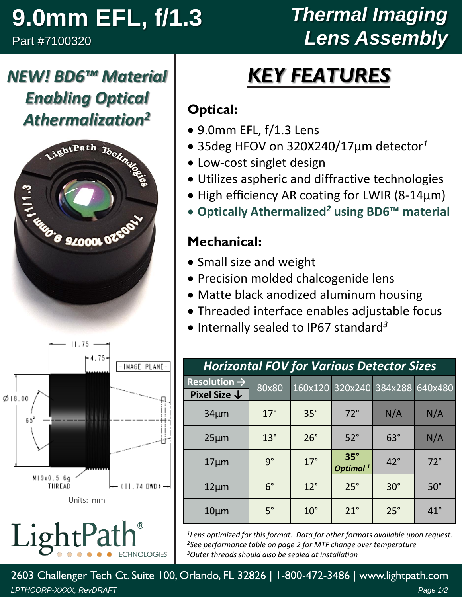# **9.0mm EFL, f/1.3**

*NEW! BD6™ Material* 

*Enabling Optical* 

Part #7100320

## *Thermal Imaging Lens Assembly*

# *KEY FEATURES*

#### **Optical:**

- 9.0mm EFL, f/1.3 Lens
- 35deg HFOV on 320X240/17µm detector*<sup>1</sup>*
- Low-cost singlet design
- Utilizes aspheric and diffractive technologies
- High efficiency AR coating for LWIR (8-14µm)
- **Optically Athermalized***<sup>2</sup>* **using BD6™ material**

#### **Mechanical:**

- Small size and weight
- Precision molded chalcogenide lens
- Matte black anodized aluminum housing
- Threaded interface enables adjustable focus
- Internally sealed to IP67 standard *3*

| <b>Horizontal FOV for Various Detector Sizes</b> |             |              |                                    |            |              |  |  |  |
|--------------------------------------------------|-------------|--------------|------------------------------------|------------|--------------|--|--|--|
| Resolution $\rightarrow$                         | 80x80       |              | 160x120 320x240 384x288            |            | 640x480      |  |  |  |
| Pixel Size $\downarrow$                          |             |              |                                    |            |              |  |  |  |
| $34 \mu m$                                       | $17^\circ$  | $35^\circ$   | $72^\circ$                         | N/A        | N/A          |  |  |  |
| $25 \mu m$                                       | $13^\circ$  | $26^\circ$   | $52^\circ$                         | $63^\circ$ | N/A          |  |  |  |
| $17 \mu m$                                       | $9^{\circ}$ | $17^\circ$   | $35^\circ$<br>Optimal <sup>1</sup> | $42^\circ$ | $72^\circ$   |  |  |  |
| $12 \mu m$                                       | $6^{\circ}$ | $12^{\circ}$ | $25^\circ$                         | $30^\circ$ | $50^\circ$   |  |  |  |
| $10 \mu m$                                       | $5^\circ$   | $10^{\circ}$ | $21^{\circ}$                       | $25^\circ$ | $41^{\circ}$ |  |  |  |

*<sup>1</sup>Lens optimized for this format. Data for other formats available upon request. <sup>2</sup>See performance table on page 2 for MTF change over temperature <sup>3</sup>Outer threads should also be sealed at installation*

2603 Challenger Tech Ct. Suite 100, Orlando, FL 32826 | 1-800-472-3486 | www.lightpath.com *LPTHCORP-XXXX, RevDRAFT Page 1/2*



LightPa **CHNOLOGIES**